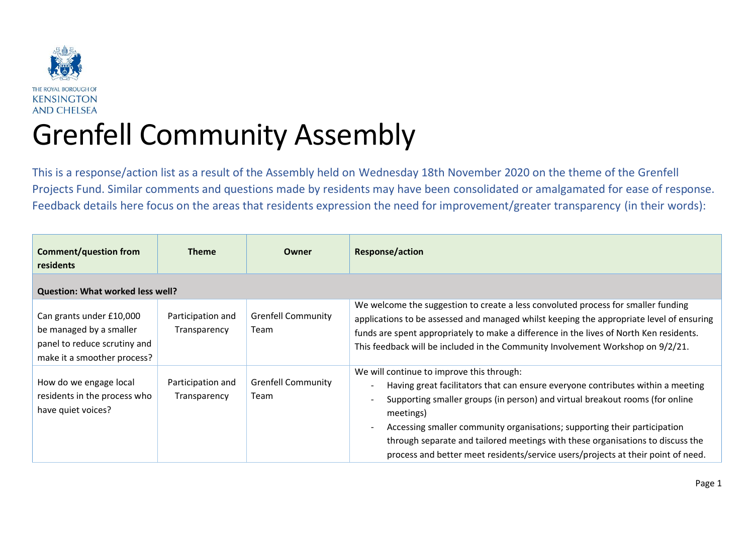

## Grenfell Community Assembly

This is a response/action list as a result of the Assembly held on Wednesday 18th November 2020 on the theme of the Grenfell Projects Fund. Similar comments and questions made by residents may have been consolidated or amalgamated for ease of response. Feedback details here focus on the areas that residents expression the need for improvement/greater transparency (in their words):

| <b>Comment/question from</b><br>residents                                                                          | <b>Theme</b>                      | Owner                                    | <b>Response/action</b>                                                                                                                                                                                                                                                                                                                                                                                                                                                       |
|--------------------------------------------------------------------------------------------------------------------|-----------------------------------|------------------------------------------|------------------------------------------------------------------------------------------------------------------------------------------------------------------------------------------------------------------------------------------------------------------------------------------------------------------------------------------------------------------------------------------------------------------------------------------------------------------------------|
| <b>Question: What worked less well?</b>                                                                            |                                   |                                          |                                                                                                                                                                                                                                                                                                                                                                                                                                                                              |
| Can grants under £10,000<br>be managed by a smaller<br>panel to reduce scrutiny and<br>make it a smoother process? | Participation and<br>Transparency | <b>Grenfell Community</b><br><b>Team</b> | We welcome the suggestion to create a less convoluted process for smaller funding<br>applications to be assessed and managed whilst keeping the appropriate level of ensuring<br>funds are spent appropriately to make a difference in the lives of North Ken residents.<br>This feedback will be included in the Community Involvement Workshop on 9/2/21.                                                                                                                  |
| How do we engage local<br>residents in the process who<br>have quiet voices?                                       | Participation and<br>Transparency | <b>Grenfell Community</b><br>Team        | We will continue to improve this through:<br>Having great facilitators that can ensure everyone contributes within a meeting<br>Supporting smaller groups (in person) and virtual breakout rooms (for online<br>meetings)<br>Accessing smaller community organisations; supporting their participation<br>through separate and tailored meetings with these organisations to discuss the<br>process and better meet residents/service users/projects at their point of need. |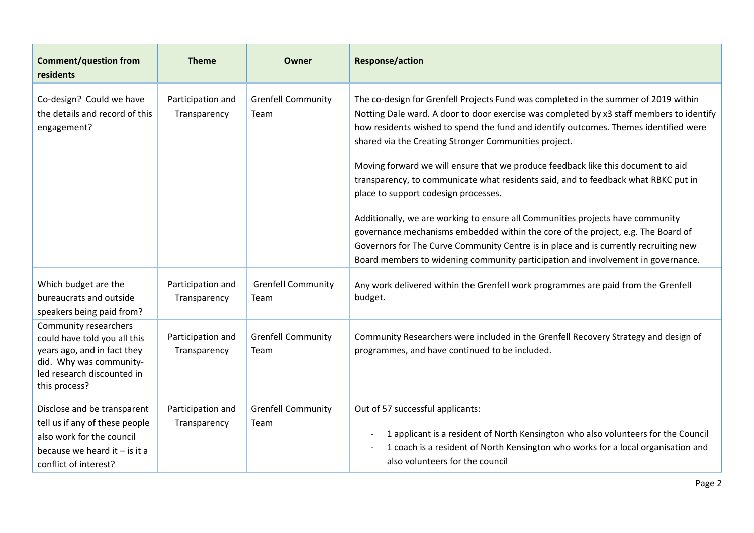| <b>Comment/question from</b><br>residents                                                                                                                      | <b>Theme</b>                      | Owner                                    | <b>Response/action</b>                                                                                                                                                                                                                                                                                                                                                                                                                                                                                                                                                                                                                                                                                                                                                                                                                                                                               |
|----------------------------------------------------------------------------------------------------------------------------------------------------------------|-----------------------------------|------------------------------------------|------------------------------------------------------------------------------------------------------------------------------------------------------------------------------------------------------------------------------------------------------------------------------------------------------------------------------------------------------------------------------------------------------------------------------------------------------------------------------------------------------------------------------------------------------------------------------------------------------------------------------------------------------------------------------------------------------------------------------------------------------------------------------------------------------------------------------------------------------------------------------------------------------|
| Co-design? Could we have<br>the details and record of this<br>engagement?                                                                                      | Participation and<br>Transparency | <b>Grenfell Community</b><br><b>Team</b> | The co-design for Grenfell Projects Fund was completed in the summer of 2019 within<br>Notting Dale ward. A door to door exercise was completed by x3 staff members to identify<br>how residents wished to spend the fund and identify outcomes. Themes identified were<br>shared via the Creating Stronger Communities project.<br>Moving forward we will ensure that we produce feedback like this document to aid<br>transparency, to communicate what residents said, and to feedback what RBKC put in<br>place to support codesign processes.<br>Additionally, we are working to ensure all Communities projects have community<br>governance mechanisms embedded within the core of the project, e.g. The Board of<br>Governors for The Curve Community Centre is in place and is currently recruiting new<br>Board members to widening community participation and involvement in governance. |
| Which budget are the<br>bureaucrats and outside<br>speakers being paid from?                                                                                   | Participation and<br>Transparency | <b>Grenfell Community</b><br>Team        | Any work delivered within the Grenfell work programmes are paid from the Grenfell<br>budget.                                                                                                                                                                                                                                                                                                                                                                                                                                                                                                                                                                                                                                                                                                                                                                                                         |
| Community researchers<br>could have told you all this<br>years ago, and in fact they<br>did. Why was community-<br>led research discounted in<br>this process? | Participation and<br>Transparency | <b>Grenfell Community</b><br>Team        | Community Researchers were included in the Grenfell Recovery Strategy and design of<br>programmes, and have continued to be included.                                                                                                                                                                                                                                                                                                                                                                                                                                                                                                                                                                                                                                                                                                                                                                |
| Disclose and be transparent<br>tell us if any of these people<br>also work for the council<br>because we heard it $-$ is it a<br>conflict of interest?         | Participation and<br>Transparency | <b>Grenfell Community</b><br>Team        | Out of 57 successful applicants:<br>1 applicant is a resident of North Kensington who also volunteers for the Council<br>1 coach is a resident of North Kensington who works for a local organisation and<br>also volunteers for the council                                                                                                                                                                                                                                                                                                                                                                                                                                                                                                                                                                                                                                                         |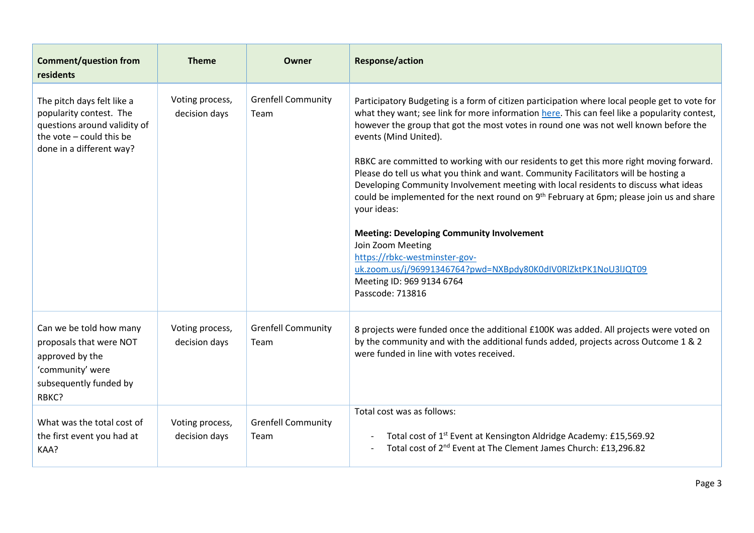| <b>Comment/question from</b><br>residents                                                                                                     | <b>Theme</b>                     | Owner                             | <b>Response/action</b>                                                                                                                                                                                                                                                                                                                                                                                                                                                                                                                                                                                                                                                                                                                                                                                                                                                                                                                     |
|-----------------------------------------------------------------------------------------------------------------------------------------------|----------------------------------|-----------------------------------|--------------------------------------------------------------------------------------------------------------------------------------------------------------------------------------------------------------------------------------------------------------------------------------------------------------------------------------------------------------------------------------------------------------------------------------------------------------------------------------------------------------------------------------------------------------------------------------------------------------------------------------------------------------------------------------------------------------------------------------------------------------------------------------------------------------------------------------------------------------------------------------------------------------------------------------------|
| The pitch days felt like a<br>popularity contest. The<br>questions around validity of<br>the vote - could this be<br>done in a different way? | Voting process,<br>decision days | <b>Grenfell Community</b><br>Team | Participatory Budgeting is a form of citizen participation where local people get to vote for<br>what they want; see link for more information here. This can feel like a popularity contest,<br>however the group that got the most votes in round one was not well known before the<br>events (Mind United).<br>RBKC are committed to working with our residents to get this more right moving forward.<br>Please do tell us what you think and want. Community Facilitators will be hosting a<br>Developing Community Involvement meeting with local residents to discuss what ideas<br>could be implemented for the next round on 9 <sup>th</sup> February at 6pm; please join us and share<br>your ideas:<br><b>Meeting: Developing Community Involvement</b><br>Join Zoom Meeting<br>https://rbkc-westminster-gov-<br>uk.zoom.us/j/96991346764?pwd=NXBpdy80K0dIV0RlZktPK1NoU3lJQT09<br>Meeting ID: 969 9134 6764<br>Passcode: 713816 |
| Can we be told how many<br>proposals that were NOT<br>approved by the<br>'community' were<br>subsequently funded by<br>RBKC?                  | Voting process,<br>decision days | <b>Grenfell Community</b><br>Team | 8 projects were funded once the additional £100K was added. All projects were voted on<br>by the community and with the additional funds added, projects across Outcome 1 & 2<br>were funded in line with votes received.                                                                                                                                                                                                                                                                                                                                                                                                                                                                                                                                                                                                                                                                                                                  |
| What was the total cost of<br>the first event you had at<br>KAA?                                                                              | Voting process,<br>decision days | <b>Grenfell Community</b><br>Team | Total cost was as follows:<br>Total cost of 1 <sup>st</sup> Event at Kensington Aldridge Academy: £15,569.92<br>Total cost of 2 <sup>nd</sup> Event at The Clement James Church: £13,296.82                                                                                                                                                                                                                                                                                                                                                                                                                                                                                                                                                                                                                                                                                                                                                |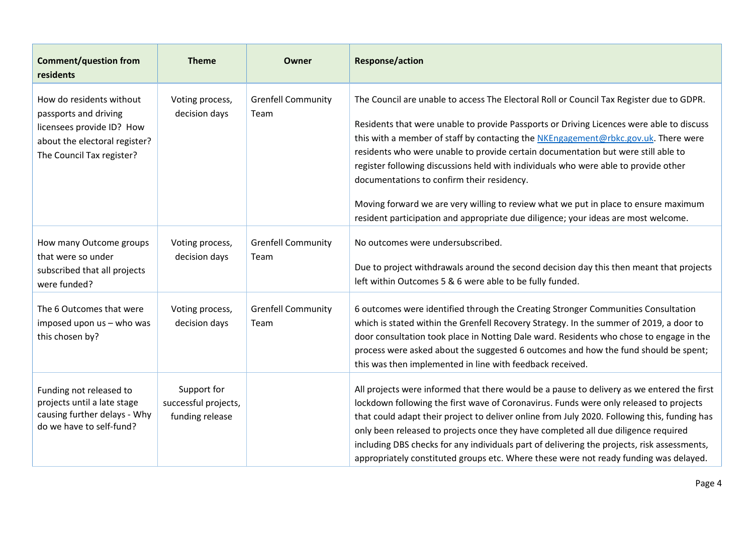| <b>Comment/question from</b><br>residents                                                                                                    | <b>Theme</b>                                           | <b>Owner</b>                      | <b>Response/action</b>                                                                                                                                                                                                                                                                                                                                                                                                                                                                                                                                                                                                                                                            |
|----------------------------------------------------------------------------------------------------------------------------------------------|--------------------------------------------------------|-----------------------------------|-----------------------------------------------------------------------------------------------------------------------------------------------------------------------------------------------------------------------------------------------------------------------------------------------------------------------------------------------------------------------------------------------------------------------------------------------------------------------------------------------------------------------------------------------------------------------------------------------------------------------------------------------------------------------------------|
| How do residents without<br>passports and driving<br>licensees provide ID? How<br>about the electoral register?<br>The Council Tax register? | Voting process,<br>decision days                       | <b>Grenfell Community</b><br>Team | The Council are unable to access The Electoral Roll or Council Tax Register due to GDPR.<br>Residents that were unable to provide Passports or Driving Licences were able to discuss<br>this with a member of staff by contacting the NKEngagement@rbkc.gov.uk. There were<br>residents who were unable to provide certain documentation but were still able to<br>register following discussions held with individuals who were able to provide other<br>documentations to confirm their residency.<br>Moving forward we are very willing to review what we put in place to ensure maximum<br>resident participation and appropriate due diligence; your ideas are most welcome. |
| How many Outcome groups<br>that were so under<br>subscribed that all projects<br>were funded?                                                | Voting process,<br>decision days                       | <b>Grenfell Community</b><br>Team | No outcomes were undersubscribed.<br>Due to project withdrawals around the second decision day this then meant that projects<br>left within Outcomes 5 & 6 were able to be fully funded.                                                                                                                                                                                                                                                                                                                                                                                                                                                                                          |
| The 6 Outcomes that were<br>imposed upon us - who was<br>this chosen by?                                                                     | Voting process,<br>decision days                       | <b>Grenfell Community</b><br>Team | 6 outcomes were identified through the Creating Stronger Communities Consultation<br>which is stated within the Grenfell Recovery Strategy. In the summer of 2019, a door to<br>door consultation took place in Notting Dale ward. Residents who chose to engage in the<br>process were asked about the suggested 6 outcomes and how the fund should be spent;<br>this was then implemented in line with feedback received.                                                                                                                                                                                                                                                       |
| Funding not released to<br>projects until a late stage<br>causing further delays - Why<br>do we have to self-fund?                           | Support for<br>successful projects,<br>funding release |                                   | All projects were informed that there would be a pause to delivery as we entered the first<br>lockdown following the first wave of Coronavirus. Funds were only released to projects<br>that could adapt their project to deliver online from July 2020. Following this, funding has<br>only been released to projects once they have completed all due diligence required<br>including DBS checks for any individuals part of delivering the projects, risk assessments,<br>appropriately constituted groups etc. Where these were not ready funding was delayed.                                                                                                                |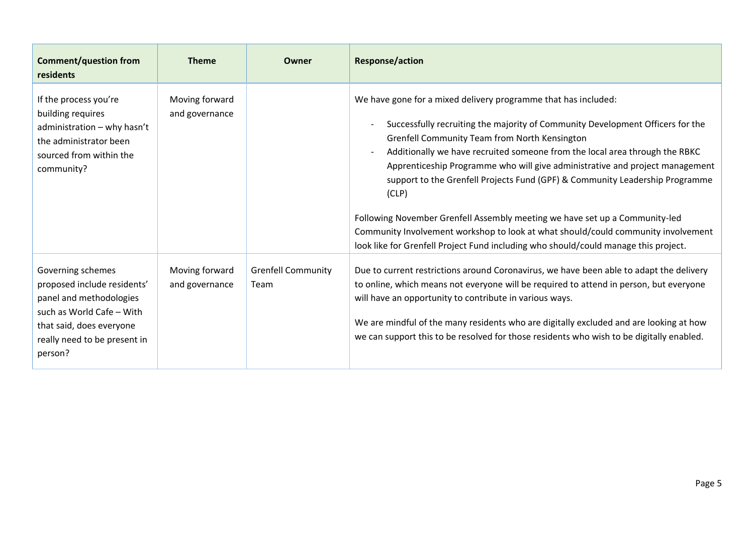| <b>Comment/question from</b><br>residents                                                                                                                                       | <b>Theme</b>                     | Owner                             | <b>Response/action</b>                                                                                                                                                                                                                                                                                                                                                                                                                                                                                                                                                                                                                                                                                               |
|---------------------------------------------------------------------------------------------------------------------------------------------------------------------------------|----------------------------------|-----------------------------------|----------------------------------------------------------------------------------------------------------------------------------------------------------------------------------------------------------------------------------------------------------------------------------------------------------------------------------------------------------------------------------------------------------------------------------------------------------------------------------------------------------------------------------------------------------------------------------------------------------------------------------------------------------------------------------------------------------------------|
| If the process you're<br>building requires<br>administration - why hasn't<br>the administrator been<br>sourced from within the<br>community?                                    | Moving forward<br>and governance |                                   | We have gone for a mixed delivery programme that has included:<br>Successfully recruiting the majority of Community Development Officers for the<br>Grenfell Community Team from North Kensington<br>Additionally we have recruited someone from the local area through the RBKC<br>Apprenticeship Programme who will give administrative and project management<br>support to the Grenfell Projects Fund (GPF) & Community Leadership Programme<br>(CLP)<br>Following November Grenfell Assembly meeting we have set up a Community-led<br>Community Involvement workshop to look at what should/could community involvement<br>look like for Grenfell Project Fund including who should/could manage this project. |
| Governing schemes<br>proposed include residents'<br>panel and methodologies<br>such as World Cafe - With<br>that said, does everyone<br>really need to be present in<br>person? | Moving forward<br>and governance | <b>Grenfell Community</b><br>Team | Due to current restrictions around Coronavirus, we have been able to adapt the delivery<br>to online, which means not everyone will be required to attend in person, but everyone<br>will have an opportunity to contribute in various ways.<br>We are mindful of the many residents who are digitally excluded and are looking at how<br>we can support this to be resolved for those residents who wish to be digitally enabled.                                                                                                                                                                                                                                                                                   |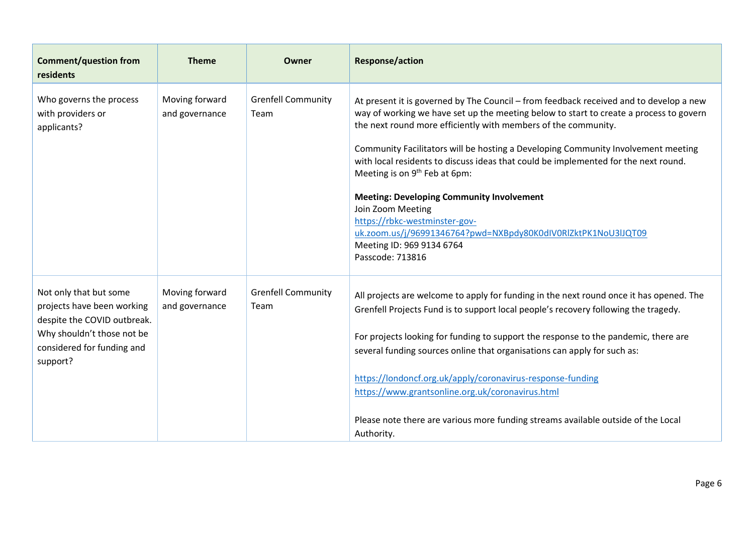| <b>Comment/question from</b><br>residents                                                                                                                   | <b>Theme</b>                     | Owner                             | <b>Response/action</b>                                                                                                                                                                                                                                                                                                                                                                                                                                                                                                                                                                                                                                                                                  |
|-------------------------------------------------------------------------------------------------------------------------------------------------------------|----------------------------------|-----------------------------------|---------------------------------------------------------------------------------------------------------------------------------------------------------------------------------------------------------------------------------------------------------------------------------------------------------------------------------------------------------------------------------------------------------------------------------------------------------------------------------------------------------------------------------------------------------------------------------------------------------------------------------------------------------------------------------------------------------|
| Who governs the process<br>with providers or<br>applicants?                                                                                                 | Moving forward<br>and governance | <b>Grenfell Community</b><br>Team | At present it is governed by The Council – from feedback received and to develop a new<br>way of working we have set up the meeting below to start to create a process to govern<br>the next round more efficiently with members of the community.<br>Community Facilitators will be hosting a Developing Community Involvement meeting<br>with local residents to discuss ideas that could be implemented for the next round.<br>Meeting is on 9 <sup>th</sup> Feb at 6pm:<br><b>Meeting: Developing Community Involvement</b><br>Join Zoom Meeting<br>https://rbkc-westminster-gov-<br>uk.zoom.us/j/96991346764?pwd=NXBpdy80K0dIV0RlZktPK1NoU3lJQT09<br>Meeting ID: 969 9134 6764<br>Passcode: 713816 |
| Not only that but some<br>projects have been working<br>despite the COVID outbreak.<br>Why shouldn't those not be<br>considered for funding and<br>support? | Moving forward<br>and governance | <b>Grenfell Community</b><br>Team | All projects are welcome to apply for funding in the next round once it has opened. The<br>Grenfell Projects Fund is to support local people's recovery following the tragedy.<br>For projects looking for funding to support the response to the pandemic, there are<br>several funding sources online that organisations can apply for such as:<br>https://londoncf.org.uk/apply/coronavirus-response-funding<br>https://www.grantsonline.org.uk/coronavirus.html<br>Please note there are various more funding streams available outside of the Local<br>Authority.                                                                                                                                  |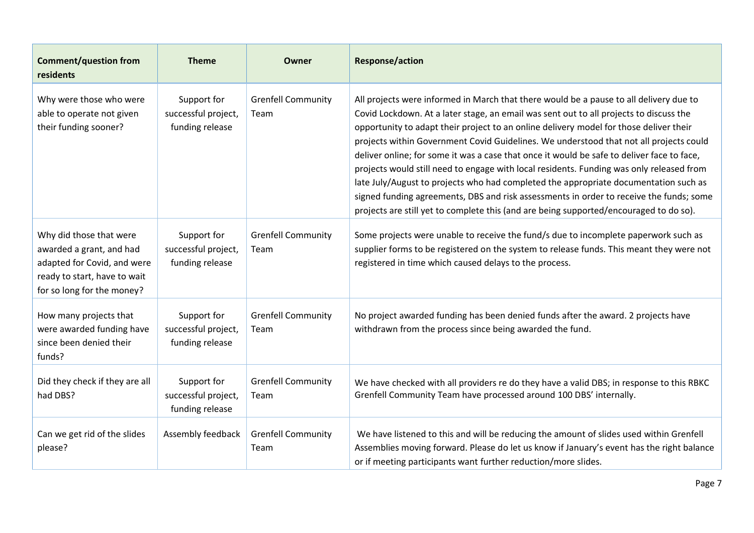| <b>Comment/question from</b><br>residents                                                                                                        | <b>Theme</b>                                          | Owner                             | <b>Response/action</b>                                                                                                                                                                                                                                                                                                                                                                                                                                                                                                                                                                                                                                                                                                                                                                                                                      |
|--------------------------------------------------------------------------------------------------------------------------------------------------|-------------------------------------------------------|-----------------------------------|---------------------------------------------------------------------------------------------------------------------------------------------------------------------------------------------------------------------------------------------------------------------------------------------------------------------------------------------------------------------------------------------------------------------------------------------------------------------------------------------------------------------------------------------------------------------------------------------------------------------------------------------------------------------------------------------------------------------------------------------------------------------------------------------------------------------------------------------|
| Why were those who were<br>able to operate not given<br>their funding sooner?                                                                    | Support for<br>successful project,<br>funding release | <b>Grenfell Community</b><br>Team | All projects were informed in March that there would be a pause to all delivery due to<br>Covid Lockdown. At a later stage, an email was sent out to all projects to discuss the<br>opportunity to adapt their project to an online delivery model for those deliver their<br>projects within Government Covid Guidelines. We understood that not all projects could<br>deliver online; for some it was a case that once it would be safe to deliver face to face,<br>projects would still need to engage with local residents. Funding was only released from<br>late July/August to projects who had completed the appropriate documentation such as<br>signed funding agreements, DBS and risk assessments in order to receive the funds; some<br>projects are still yet to complete this (and are being supported/encouraged to do so). |
| Why did those that were<br>awarded a grant, and had<br>adapted for Covid, and were<br>ready to start, have to wait<br>for so long for the money? | Support for<br>successful project,<br>funding release | <b>Grenfell Community</b><br>Team | Some projects were unable to receive the fund/s due to incomplete paperwork such as<br>supplier forms to be registered on the system to release funds. This meant they were not<br>registered in time which caused delays to the process.                                                                                                                                                                                                                                                                                                                                                                                                                                                                                                                                                                                                   |
| How many projects that<br>were awarded funding have<br>since been denied their<br>funds?                                                         | Support for<br>successful project,<br>funding release | <b>Grenfell Community</b><br>Team | No project awarded funding has been denied funds after the award. 2 projects have<br>withdrawn from the process since being awarded the fund.                                                                                                                                                                                                                                                                                                                                                                                                                                                                                                                                                                                                                                                                                               |
| Did they check if they are all<br>had DBS?                                                                                                       | Support for<br>successful project,<br>funding release | <b>Grenfell Community</b><br>Team | We have checked with all providers re do they have a valid DBS; in response to this RBKC<br>Grenfell Community Team have processed around 100 DBS' internally.                                                                                                                                                                                                                                                                                                                                                                                                                                                                                                                                                                                                                                                                              |
| Can we get rid of the slides<br>please?                                                                                                          | Assembly feedback                                     | <b>Grenfell Community</b><br>Team | We have listened to this and will be reducing the amount of slides used within Grenfell<br>Assemblies moving forward. Please do let us know if January's event has the right balance<br>or if meeting participants want further reduction/more slides.                                                                                                                                                                                                                                                                                                                                                                                                                                                                                                                                                                                      |